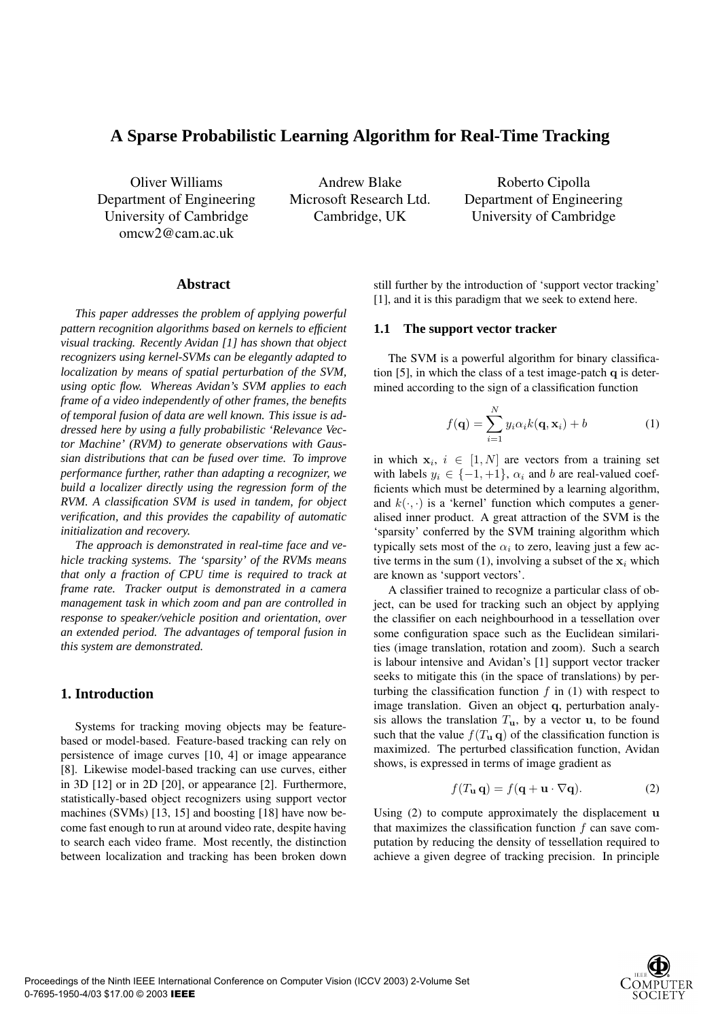# **A Sparse Probabilistic Learning Algorithm for Real-Time Tracking**

Oliver Williams Department of Engineering University of Cambridge omcw2@cam.ac.uk

Andrew Blake Microsoft Research Ltd. Cambridge, UK

Roberto Cipolla Department of Engineering University of Cambridge

## **Abstract**

*This paper addresses the problem of applying powerful pattern recognition algorithms based on kernels to efficient visual tracking. Recently Avidan [1] has shown that object recognizers using kernel-SVMs can be elegantly adapted to localization by means of spatial perturbation of the SVM, using optic flow. Whereas Avidan's SVM applies to each frame of a video independently of other frames, the benefits of temporal fusion of data are well known. This issue is addressed here by using a fully probabilistic 'Relevance Vector Machine' (RVM) to generate observations with Gaussian distributions that can be fused over time. To improve performance further, rather than adapting a recognizer, we build a localizer directly using the regression form of the RVM. A classification SVM is used in tandem, for object verification, and this provides the capability of automatic initialization and recovery.*

*The approach is demonstrated in real-time face and vehicle tracking systems. The 'sparsity' of the RVMs means that only a fraction of CPU time is required to track at frame rate. Tracker output is demonstrated in a camera management task in which zoom and pan are controlled in response to speaker/vehicle position and orientation, over an extended period. The advantages of temporal fusion in this system are demonstrated.*

## **1. Introduction**

Systems for tracking moving objects may be featurebased or model-based. Feature-based tracking can rely on persistence of image curves [10, 4] or image appearance [8]. Likewise model-based tracking can use curves, either in 3D [12] or in 2D [20], or appearance [2]. Furthermore, statistically-based object recognizers using support vector machines (SVMs) [13, 15] and boosting [18] have now become fast enough to run at around video rate, despite having to search each video frame. Most recently, the distinction between localization and tracking has been broken down still further by the introduction of 'support vector tracking' [1], and it is this paradigm that we seek to extend here.

#### **1.1 The support vector tracker**

The SVM is a powerful algorithm for binary classification [5], in which the class of a test image-patch **q** is determined according to the sign of a classification function

$$
f(\mathbf{q}) = \sum_{i=1}^{N} y_i \alpha_i k(\mathbf{q}, \mathbf{x}_i) + b \tag{1}
$$

in which  $x_i$ ,  $i \in [1, N]$  are vectors from a training set with labels  $y_i \in \{-1, +1\}$ ,  $\alpha_i$  and b are real-valued coefficients which must be determined by a learning algorithm, and  $k(\cdot, \cdot)$  is a 'kernel' function which computes a generalised inner product. A great attraction of the SVM is the 'sparsity' conferred by the SVM training algorithm which typically sets most of the  $\alpha_i$  to zero, leaving just a few active terms in the sum (1), involving a subset of the  $x_i$  which are known as 'support vectors'.

A classifier trained to recognize a particular class of object, can be used for tracking such an object by applying the classifier on each neighbourhood in a tessellation over some configuration space such as the Euclidean similarities (image translation, rotation and zoom). Such a search is labour intensive and Avidan's [1] support vector tracker seeks to mitigate this (in the space of translations) by perturbing the classification function  $f$  in (1) with respect to image translation. Given an object **q**, perturbation analysis allows the translation  $T_u$ , by a vector **u**, to be found such that the value  $f(T_{\mathbf{u}} \mathbf{q})$  of the classification function is maximized. The perturbed classification function, Avidan shows, is expressed in terms of image gradient as

$$
f(T_{\mathbf{u}}\mathbf{q}) = f(\mathbf{q} + \mathbf{u} \cdot \nabla \mathbf{q}).
$$
 (2)

Using (2) to compute approximately the displacement **u** that maximizes the classification function  $f$  can save computation by reducing the density of tessellation required to achieve a given degree of tracking precision. In principle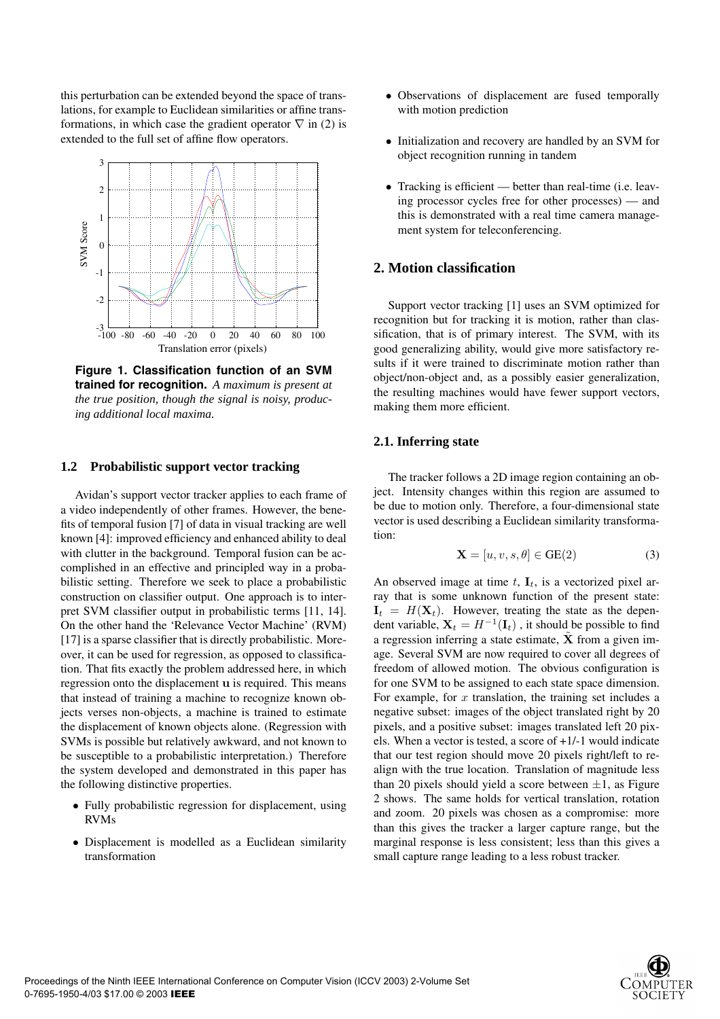this perturbation can be extended beyond the space of translations, for example to Euclidean similarities or affine transformations, in which case the gradient operator  $\nabla$  in (2) is extended to the full set of affine flow operators.



**Figure 1. Classification function of an SVM trained for recognition.** *A maximum is present at the true position, though the signal is noisy, producing additional local maxima.*

## **1.2 Probabilistic support vector tracking**

Avidan's support vector tracker applies to each frame of a video independently of other frames. However, the benefits of temporal fusion [7] of data in visual tracking are well known [4]: improved efficiency and enhanced ability to deal with clutter in the background. Temporal fusion can be accomplished in an effective and principled way in a probabilistic setting. Therefore we seek to place a probabilistic construction on classifier output. One approach is to interpret SVM classifier output in probabilistic terms [11, 14]. On the other hand the 'Relevance Vector Machine' (RVM) [17] is a sparse classifier that is directly probabilistic. Moreover, it can be used for regression, as opposed to classification. That fits exactly the problem addressed here, in which regression onto the displacement **u** is required. This means that instead of training a machine to recognize known objects verses non-objects, a machine is trained to estimate the displacement of known objects alone. (Regression with SVMs is possible but relatively awkward, and not known to be susceptible to a probabilistic interpretation.) Therefore the system developed and demonstrated in this paper has the following distinctive properties.

- Fully probabilistic regression for displacement, using RVMs
- Displacement is modelled as a Euclidean similarity transformation
- Observations of displacement are fused temporally with motion prediction
- Initialization and recovery are handled by an SVM for object recognition running in tandem
- Tracking is efficient better than real-time (i.e. leaving processor cycles free for other processes) — and this is demonstrated with a real time camera management system for teleconferencing.

## **2. Motion classification**

Support vector tracking [1] uses an SVM optimized for recognition but for tracking it is motion, rather than classification, that is of primary interest. The SVM, with its good generalizing ability, would give more satisfactory results if it were trained to discriminate motion rather than object/non-object and, as a possibly easier generalization, the resulting machines would have fewer support vectors, making them more efficient.

#### **2.1. Inferring state**

The tracker follows a 2D image region containing an object. Intensity changes within this region are assumed to be due to motion only. Therefore, a four-dimensional state vector is used describing a Euclidean similarity transformation:

$$
\mathbf{X} = [u, v, s, \theta] \in \text{GE}(2)
$$
 (3)

An observed image at time  $t$ ,  $\mathbf{I}_t$ , is a vectorized pixel array that is some unknown function of the present state:  $I_t = H(\mathbf{X}_t)$ . However, treating the state as the dependent variable,  $X_t = H^{-1}(\mathbf{I}_t)$ , it should be possible to find a regression inferring a state estimate,  $\tilde{\mathbf{X}}$  from a given image. Several SVM are now required to cover all degrees of freedom of allowed motion. The obvious configuration is for one SVM to be assigned to each state space dimension. For example, for  $x$  translation, the training set includes a negative subset: images of the object translated right by 20 pixels, and a positive subset: images translated left 20 pixels. When a vector is tested, a score of +1/-1 would indicate that our test region should move 20 pixels right/left to realign with the true location. Translation of magnitude less than 20 pixels should yield a score between  $\pm 1$ , as Figure 2 shows. The same holds for vertical translation, rotation and zoom. 20 pixels was chosen as a compromise: more than this gives the tracker a larger capture range, but the marginal response is less consistent; less than this gives a small capture range leading to a less robust tracker.

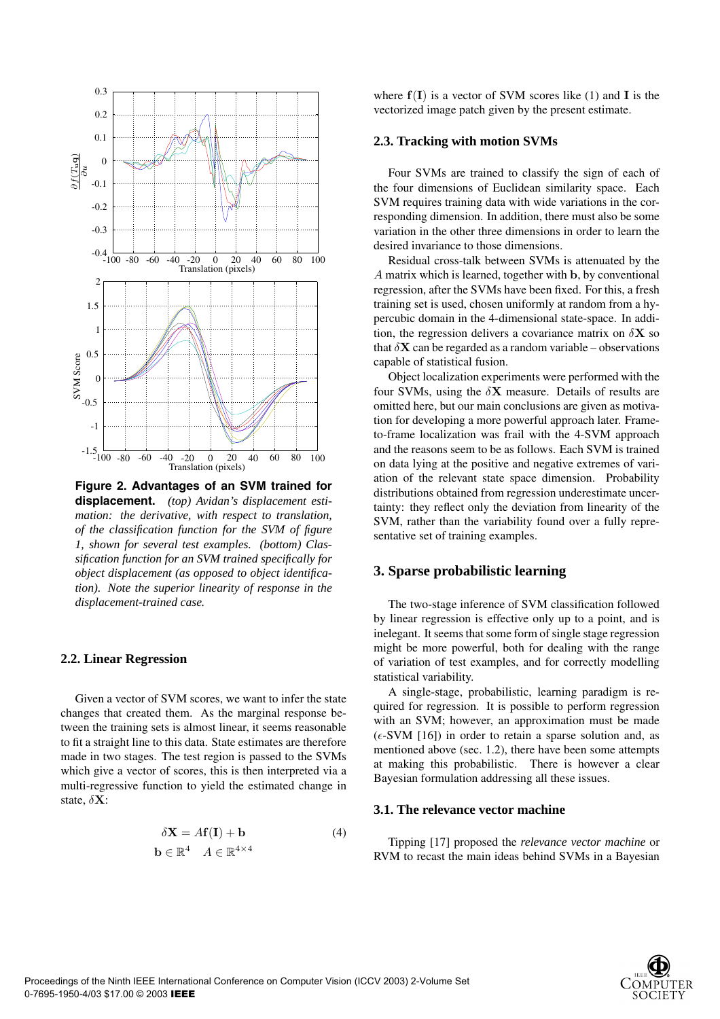

**Figure 2. Advantages of an SVM trained for displacement.** *(top) Avidan's displacement estimation: the derivative, with respect to translation, of the classification function for the SVM of figure 1, shown for several test examples. (bottom) Classification function for an SVM trained specifically for object displacement (as opposed to object identification). Note the superior linearity of response in the displacement-trained case.*

## **2.2. Linear Regression**

Given a vector of SVM scores, we want to infer the state changes that created them. As the marginal response between the training sets is almost linear, it seems reasonable to fit a straight line to this data. State estimates are therefore made in two stages. The test region is passed to the SVMs which give a vector of scores, this is then interpreted via a multi-regressive function to yield the estimated change in state, δ**X**:

$$
\delta \mathbf{X} = A\mathbf{f}(\mathbf{I}) + \mathbf{b}
$$
  
\n
$$
\mathbf{b} \in \mathbb{R}^4 \quad A \in \mathbb{R}^{4 \times 4}
$$
 (4)

where  $f(I)$  is a vector of SVM scores like (1) and **I** is the vectorized image patch given by the present estimate.

#### **2.3. Tracking with motion SVMs**

Four SVMs are trained to classify the sign of each of the four dimensions of Euclidean similarity space. Each SVM requires training data with wide variations in the corresponding dimension. In addition, there must also be some variation in the other three dimensions in order to learn the desired invariance to those dimensions.

Residual cross-talk between SVMs is attenuated by the A matrix which is learned, together with **b**, by conventional regression, after the SVMs have been fixed. For this, a fresh training set is used, chosen uniformly at random from a hypercubic domain in the 4-dimensional state-space. In addition, the regression delivers a covariance matrix on  $\delta X$  so that  $\delta$ **X** can be regarded as a random variable – observations capable of statistical fusion.

Object localization experiments were performed with the four SVMs, using the  $\delta$ **X** measure. Details of results are omitted here, but our main conclusions are given as motivation for developing a more powerful approach later. Frameto-frame localization was frail with the 4-SVM approach and the reasons seem to be as follows. Each SVM is trained on data lying at the positive and negative extremes of variation of the relevant state space dimension. Probability distributions obtained from regression underestimate uncertainty: they reflect only the deviation from linearity of the SVM, rather than the variability found over a fully representative set of training examples.

## **3. Sparse probabilistic learning**

The two-stage inference of SVM classification followed by linear regression is effective only up to a point, and is inelegant. It seems that some form of single stage regression might be more powerful, both for dealing with the range of variation of test examples, and for correctly modelling statistical variability.

A single-stage, probabilistic, learning paradigm is required for regression. It is possible to perform regression with an SVM; however, an approximation must be made  $(\epsilon$ -SVM [16]) in order to retain a sparse solution and, as mentioned above (sec. 1.2), there have been some attempts at making this probabilistic. There is however a clear Bayesian formulation addressing all these issues.

#### **3.1. The relevance vector machine**

Tipping [17] proposed the *relevance vector machine* or RVM to recast the main ideas behind SVMs in a Bayesian

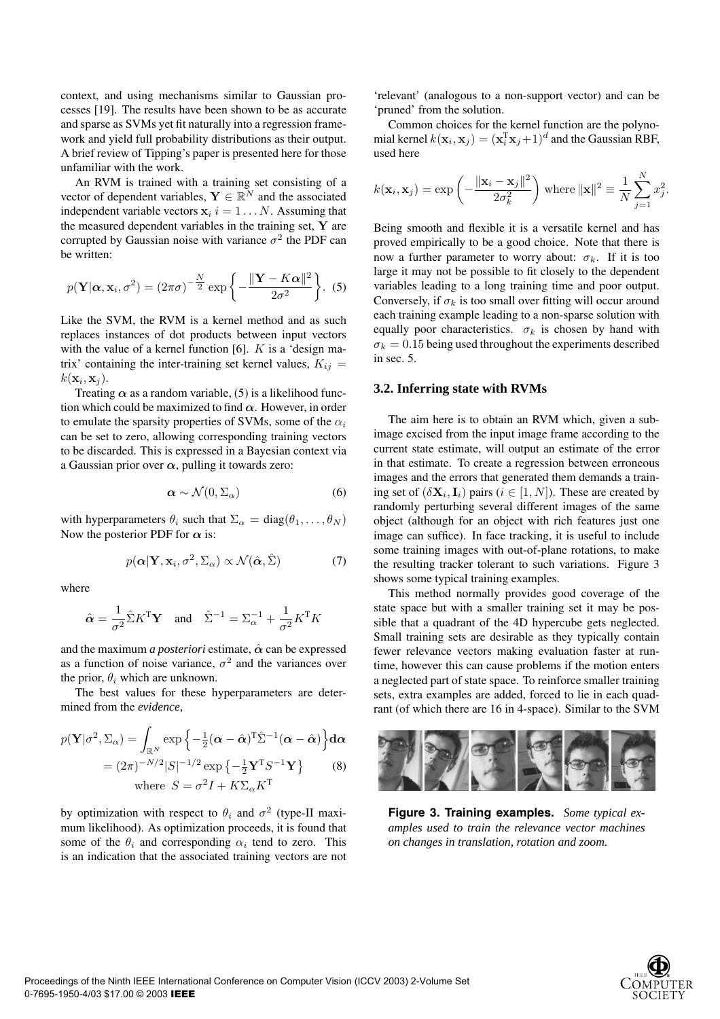context, and using mechanisms similar to Gaussian processes [19]. The results have been shown to be as accurate and sparse as SVMs yet fit naturally into a regression framework and yield full probability distributions as their output. A brief review of Tipping's paper is presented here for those unfamiliar with the work.

An RVM is trained with a training set consisting of a vector of dependent variables,  $\mathbf{Y} \in \mathbb{R}^N$  and the associated independent variable vectors  $x_i$  i = 1... N. Assuming that the measured dependent variables in the training set, **Y** are corrupted by Gaussian noise with variance  $\sigma^2$  the PDF can be written:

$$
p(\mathbf{Y}|\boldsymbol{\alpha}, \mathbf{x}_i, \sigma^2) = (2\pi\sigma)^{-\frac{N}{2}} \exp\left\{-\frac{\|\mathbf{Y} - K\boldsymbol{\alpha}\|^2}{2\sigma^2}\right\}.
$$
 (5)

Like the SVM, the RVM is a kernel method and as such replaces instances of dot products between input vectors with the value of a kernel function  $[6]$ . K is a 'design matrix' containing the inter-training set kernel values,  $K_{ij} =$  $k(\mathbf{x}_i, \mathbf{x}_j)$ .

Treating  $\alpha$  as a random variable, (5) is a likelihood function which could be maximized to find  $\alpha$ . However, in order to emulate the sparsity properties of SVMs, some of the  $\alpha_i$ can be set to zero, allowing corresponding training vectors to be discarded. This is expressed in a Bayesian context via a Gaussian prior over  $\alpha$ , pulling it towards zero:

$$
\alpha \sim \mathcal{N}(0, \Sigma_{\alpha}) \tag{6}
$$

with hyperparameters  $\theta_i$  such that  $\Sigma_{\alpha} = \text{diag}(\theta_1, \dots, \theta_N)$ Now the posterior PDF for  $\alpha$  is:

$$
p(\boldsymbol{\alpha}|\mathbf{Y},\mathbf{x}_i,\sigma^2,\Sigma_{\alpha}) \propto \mathcal{N}(\hat{\boldsymbol{\alpha}},\hat{\Sigma})
$$
 (7)

where

$$
\hat{\alpha} = \frac{1}{\sigma^2} \hat{\Sigma} K^{\mathrm{T}} \mathbf{Y} \quad \text{and} \quad \hat{\Sigma}^{-1} = \Sigma_{\alpha}^{-1} + \frac{1}{\sigma^2} K^{\mathrm{T}} K
$$

and the maximum *a posteriori* estimate, *α*ˆ can be expressed as a function of noise variance,  $\sigma^2$  and the variances over the prior,  $\theta_i$  which are unknown.

The best values for these hyperparameters are determined from the *evidence*,

$$
p(\mathbf{Y}|\sigma^2, \Sigma_{\alpha}) = \int_{\mathbb{R}^N} \exp\left\{-\frac{1}{2}(\boldsymbol{\alpha} - \hat{\boldsymbol{\alpha}})^{\mathrm{T}} \hat{\Sigma}^{-1}(\boldsymbol{\alpha} - \hat{\boldsymbol{\alpha}})\right\} d\boldsymbol{\alpha}
$$

$$
= (2\pi)^{-N/2} |S|^{-1/2} \exp\left\{-\frac{1}{2} \mathbf{Y}^{\mathrm{T}} S^{-1} \mathbf{Y}\right\} \qquad (8)
$$
where  $S = \sigma^2 I + K \Sigma_{\alpha} K^{\mathrm{T}}$ 

by optimization with respect to  $\theta_i$  and  $\sigma^2$  (type-II maximum likelihood). As optimization proceeds, it is found that some of the  $\theta_i$  and corresponding  $\alpha_i$  tend to zero. This is an indication that the associated training vectors are not 'relevant' (analogous to a non-support vector) and can be 'pruned' from the solution.

Common choices for the kernel function are the polynomial kernel  $k(\mathbf{x}_i, \mathbf{x}_j) = (\mathbf{x}_i^T \mathbf{x}_j + 1)^d$  and the Gaussian RBF, used here

$$
k(\mathbf{x}_i, \mathbf{x}_j) = \exp\left(-\frac{\|\mathbf{x}_i - \mathbf{x}_j\|^2}{2\sigma_k^2}\right) \text{ where } \|\mathbf{x}\|^2 \equiv \frac{1}{N} \sum_{j=1}^N x_j^2.
$$

Being smooth and flexible it is a versatile kernel and has proved empirically to be a good choice. Note that there is now a further parameter to worry about:  $\sigma_k$ . If it is too large it may not be possible to fit closely to the dependent variables leading to a long training time and poor output. Conversely, if  $\sigma_k$  is too small over fitting will occur around each training example leading to a non-sparse solution with equally poor characteristics.  $\sigma_k$  is chosen by hand with  $\sigma_k = 0.15$  being used throughout the experiments described in sec. 5.

#### **3.2. Inferring state with RVMs**

The aim here is to obtain an RVM which, given a subimage excised from the input image frame according to the current state estimate, will output an estimate of the error in that estimate. To create a regression between erroneous images and the errors that generated them demands a training set of  $(\delta \mathbf{X}_i, \mathbf{I}_i)$  pairs  $(i \in [1, N])$ . These are created by randomly perturbing several different images of the same object (although for an object with rich features just one image can suffice). In face tracking, it is useful to include some training images with out-of-plane rotations, to make the resulting tracker tolerant to such variations. Figure 3 shows some typical training examples.

This method normally provides good coverage of the state space but with a smaller training set it may be possible that a quadrant of the 4D hypercube gets neglected. Small training sets are desirable as they typically contain fewer relevance vectors making evaluation faster at runtime, however this can cause problems if the motion enters a neglected part of state space. To reinforce smaller training sets, extra examples are added, forced to lie in each quadrant (of which there are 16 in 4-space). Similar to the SVM



**Figure 3. Training examples.** *Some typical examples used to train the relevance vector machines on changes in translation, rotation and zoom.*

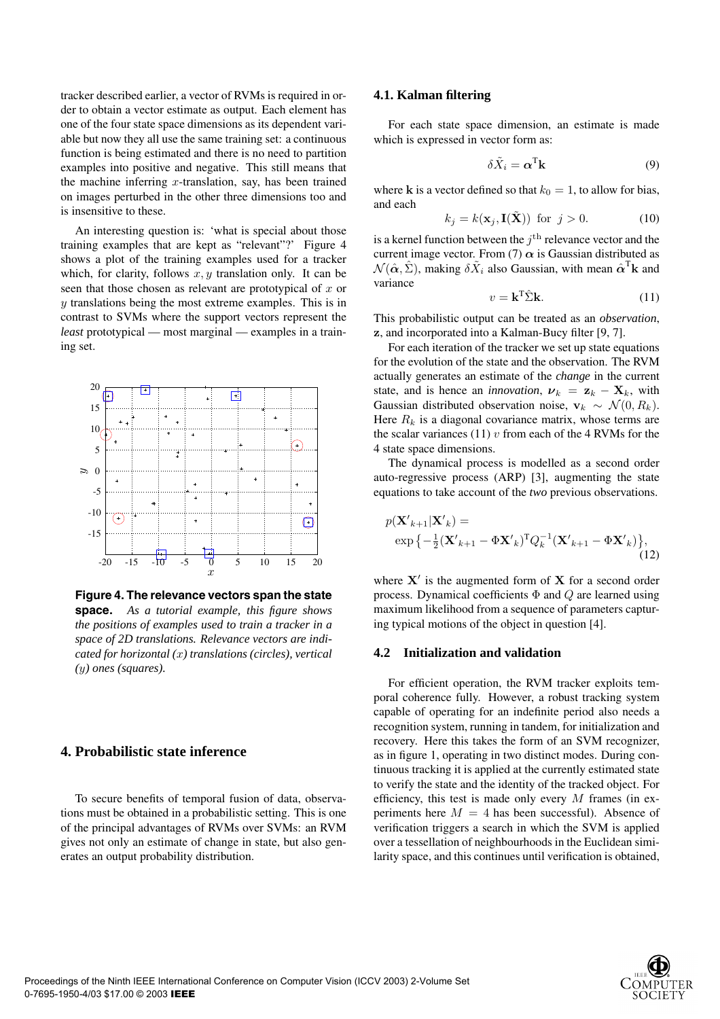tracker described earlier, a vector of RVMs is required in order to obtain a vector estimate as output. Each element has one of the four state space dimensions as its dependent variable but now they all use the same training set: a continuous function is being estimated and there is no need to partition examples into positive and negative. This still means that the machine inferring  $x$ -translation, say, has been trained on images perturbed in the other three dimensions too and is insensitive to these.

An interesting question is: 'what is special about those training examples that are kept as "relevant"?' Figure 4 shows a plot of the training examples used for a tracker which, for clarity, follows  $x, y$  translation only. It can be seen that those chosen as relevant are prototypical of  $x$  or  $y$  translations being the most extreme examples. This is in contrast to SVMs where the support vectors represent the *least* prototypical — most marginal — examples in a training set.



**Figure 4. The relevance vectors span the state space.** *As a tutorial example, this figure shows the positions of examples used to train a tracker in a space of 2D translations. Relevance vectors are indicated for horizontal (*x*) translations (circles), vertical (*y*) ones (squares).*

## **4. Probabilistic state inference**

To secure benefits of temporal fusion of data, observations must be obtained in a probabilistic setting. This is one of the principal advantages of RVMs over SVMs: an RVM gives not only an estimate of change in state, but also generates an output probability distribution.

#### **4.1. Kalman filtering**

For each state space dimension, an estimate is made which is expressed in vector form as:

$$
\delta \tilde{X}_i = \alpha^{\mathrm{T}} \mathbf{k} \tag{9}
$$

where **k** is a vector defined so that  $k_0 = 1$ , to allow for bias, and each

$$
k_j = k(\mathbf{x}_j, \mathbf{I}(\tilde{\mathbf{X}})) \text{ for } j > 0.
$$
 (10)

is a kernel function between the  $i<sup>th</sup>$  relevance vector and the current image vector. From (7)  $\alpha$  is Gaussian distributed as  $\mathcal{N}(\hat{\alpha}, \hat{\Sigma})$ , making  $\delta X_i$  also Gaussian, with mean  $\hat{\alpha}^{\mathrm{T}}$ **k** and variance

$$
v = \mathbf{k}^{\mathrm{T}} \hat{\Sigma} \mathbf{k}.\tag{11}
$$

This probabilistic output can be treated as an *observation*, **z**, and incorporated into a Kalman-Bucy filter [9, 7].

For each iteration of the tracker we set up state equations for the evolution of the state and the observation. The RVM actually generates an estimate of the *change* in the current state, and is hence an *innovation*,  $v_k = z_k - X_k$ , with Gaussian distributed observation noise,  $\mathbf{v}_k \sim \mathcal{N}(0, R_k)$ . Here  $R_k$  is a diagonal covariance matrix, whose terms are the scalar variances (11)  $v$  from each of the 4 RVMs for the 4 state space dimensions.

The dynamical process is modelled as a second order auto-regressive process (ARP) [3], augmenting the state equations to take account of the *two* previous observations.

$$
p(\mathbf{X'}_{k+1}|\mathbf{X'}_{k}) = \exp\left\{-\frac{1}{2}(\mathbf{X'}_{k+1} - \Phi \mathbf{X'}_{k})^{\mathrm{T}} Q_k^{-1} (\mathbf{X'}_{k+1} - \Phi \mathbf{X'}_{k})\right\},\tag{12}
$$

where  $X'$  is the augmented form of  $X$  for a second order process. Dynamical coefficients  $\Phi$  and  $Q$  are learned using maximum likelihood from a sequence of parameters capturing typical motions of the object in question [4].

#### **4.2 Initialization and validation**

For efficient operation, the RVM tracker exploits temporal coherence fully. However, a robust tracking system capable of operating for an indefinite period also needs a recognition system, running in tandem, for initialization and recovery. Here this takes the form of an SVM recognizer, as in figure 1, operating in two distinct modes. During continuous tracking it is applied at the currently estimated state to verify the state and the identity of the tracked object. For efficiency, this test is made only every  $M$  frames (in experiments here  $M = 4$  has been successful). Absence of verification triggers a search in which the SVM is applied over a tessellation of neighbourhoods in the Euclidean similarity space, and this continues until verification is obtained,

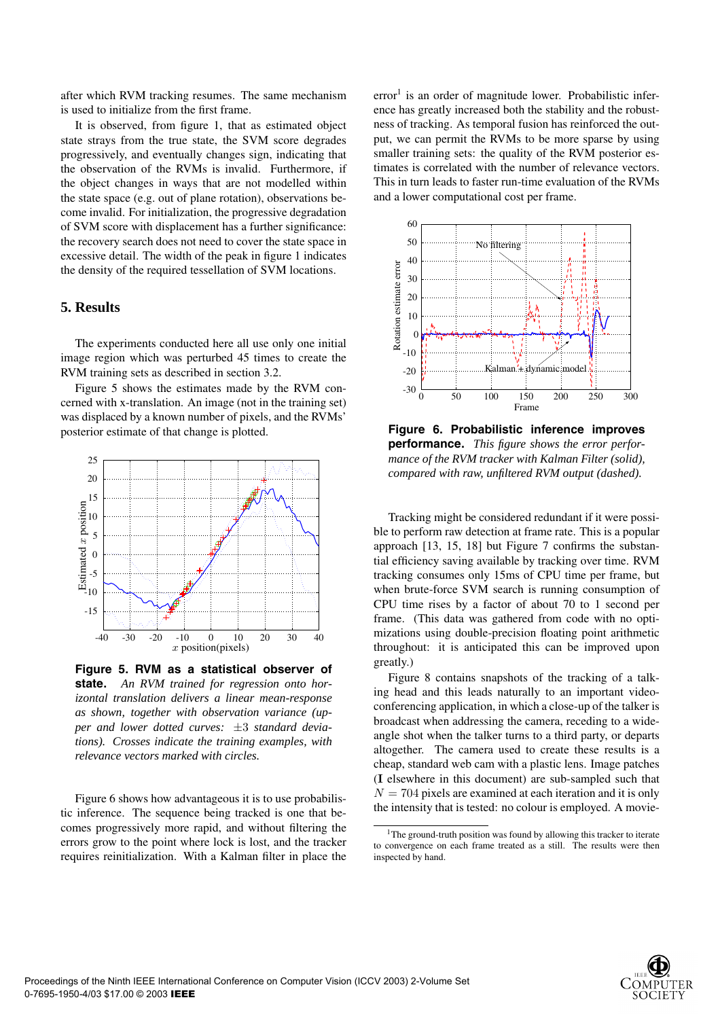after which RVM tracking resumes. The same mechanism is used to initialize from the first frame.

It is observed, from figure 1, that as estimated object state strays from the true state, the SVM score degrades progressively, and eventually changes sign, indicating that the observation of the RVMs is invalid. Furthermore, if the object changes in ways that are not modelled within the state space (e.g. out of plane rotation), observations become invalid. For initialization, the progressive degradation of SVM score with displacement has a further significance: the recovery search does not need to cover the state space in excessive detail. The width of the peak in figure 1 indicates the density of the required tessellation of SVM locations.

## **5. Results**

The experiments conducted here all use only one initial image region which was perturbed 45 times to create the RVM training sets as described in section 3.2.

Figure 5 shows the estimates made by the RVM concerned with x-translation. An image (not in the training set) was displaced by a known number of pixels, and the RVMs' posterior estimate of that change is plotted.



**Figure 5. RVM as a statistical observer of state.** *An RVM trained for regression onto horizontal translation delivers a linear mean-response as shown, together with observation variance (upper and lower dotted curves:* ±3 *standard deviations). Crosses indicate the training examples, with relevance vectors marked with circles.*

Figure 6 shows how advantageous it is to use probabilistic inference. The sequence being tracked is one that becomes progressively more rapid, and without filtering the errors grow to the point where lock is lost, and the tracker requires reinitialization. With a Kalman filter in place the  $error<sup>1</sup>$  is an order of magnitude lower. Probabilistic inference has greatly increased both the stability and the robustness of tracking. As temporal fusion has reinforced the output, we can permit the RVMs to be more sparse by using smaller training sets: the quality of the RVM posterior estimates is correlated with the number of relevance vectors. This in turn leads to faster run-time evaluation of the RVMs and a lower computational cost per frame.



**Figure 6. Probabilistic inference improves performance.** *This figure shows the error performance of the RVM tracker with Kalman Filter (solid), compared with raw, unfiltered RVM output (dashed).*

Tracking might be considered redundant if it were possible to perform raw detection at frame rate. This is a popular approach [13, 15, 18] but Figure 7 confirms the substantial efficiency saving available by tracking over time. RVM tracking consumes only 15ms of CPU time per frame, but when brute-force SVM search is running consumption of CPU time rises by a factor of about 70 to 1 second per frame. (This data was gathered from code with no optimizations using double-precision floating point arithmetic throughout: it is anticipated this can be improved upon greatly.)

Figure 8 contains snapshots of the tracking of a talking head and this leads naturally to an important videoconferencing application, in which a close-up of the talker is broadcast when addressing the camera, receding to a wideangle shot when the talker turns to a third party, or departs altogether. The camera used to create these results is a cheap, standard web cam with a plastic lens. Image patches (**I** elsewhere in this document) are sub-sampled such that  $N = 704$  pixels are examined at each iteration and it is only the intensity that is tested: no colour is employed. A movie-



<sup>&</sup>lt;sup>1</sup>The ground-truth position was found by allowing this tracker to iterate to convergence on each frame treated as a still. The results were then inspected by hand.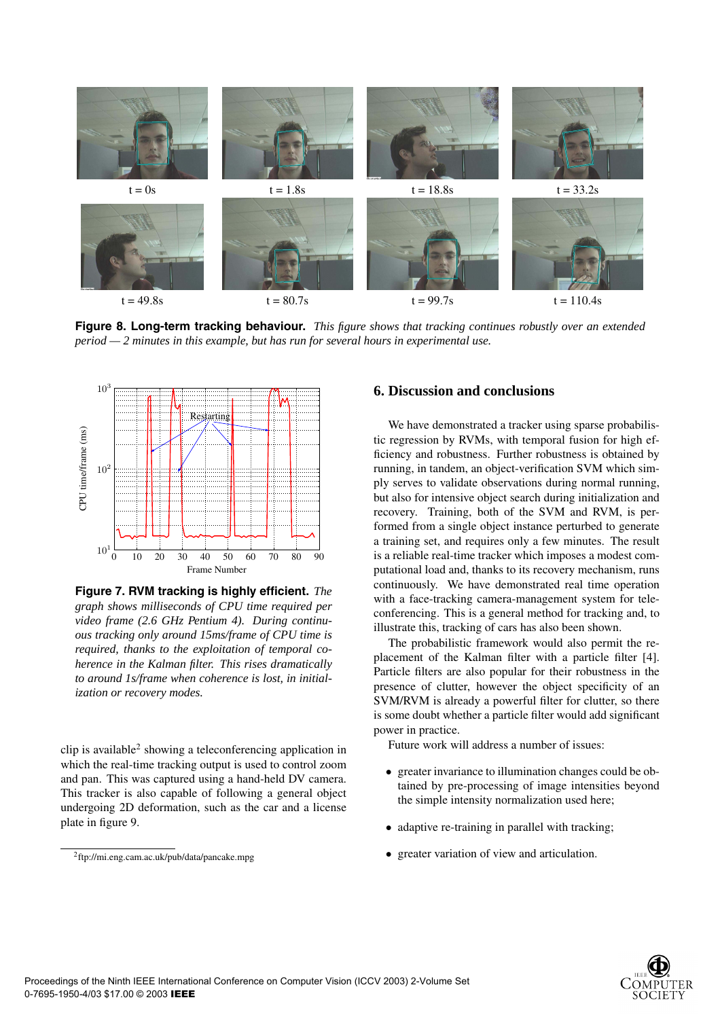

**Figure 8. Long-term tracking behaviour.** *This figure shows that tracking continues robustly over an extended period — 2 minutes in this example, but has run for several hours in experimental use.*



**Figure 7. RVM tracking is highly efficient.** *The graph shows milliseconds of CPU time required per video frame (2.6 GHz Pentium 4). During continuous tracking only around 15ms/frame of CPU time is required, thanks to the exploitation of temporal coherence in the Kalman filter. This rises dramatically to around 1s/frame when coherence is lost, in initialization or recovery modes.*

clip is available<sup>2</sup> showing a teleconferencing application in which the real-time tracking output is used to control zoom and pan. This was captured using a hand-held DV camera. This tracker is also capable of following a general object undergoing 2D deformation, such as the car and a license plate in figure 9.

## **6. Discussion and conclusions**

We have demonstrated a tracker using sparse probabilistic regression by RVMs, with temporal fusion for high efficiency and robustness. Further robustness is obtained by running, in tandem, an object-verification SVM which simply serves to validate observations during normal running, but also for intensive object search during initialization and recovery. Training, both of the SVM and RVM, is performed from a single object instance perturbed to generate a training set, and requires only a few minutes. The result is a reliable real-time tracker which imposes a modest computational load and, thanks to its recovery mechanism, runs continuously. We have demonstrated real time operation with a face-tracking camera-management system for teleconferencing. This is a general method for tracking and, to illustrate this, tracking of cars has also been shown.

The probabilistic framework would also permit the replacement of the Kalman filter with a particle filter [4]. Particle filters are also popular for their robustness in the presence of clutter, however the object specificity of an SVM/RVM is already a powerful filter for clutter, so there is some doubt whether a particle filter would add significant power in practice.

Future work will address a number of issues:

- greater invariance to illumination changes could be obtained by pre-processing of image intensities beyond the simple intensity normalization used here;
- adaptive re-training in parallel with tracking;
- greater variation of view and articulation.



<sup>2</sup>ftp://mi.eng.cam.ac.uk/pub/data/pancake.mpg